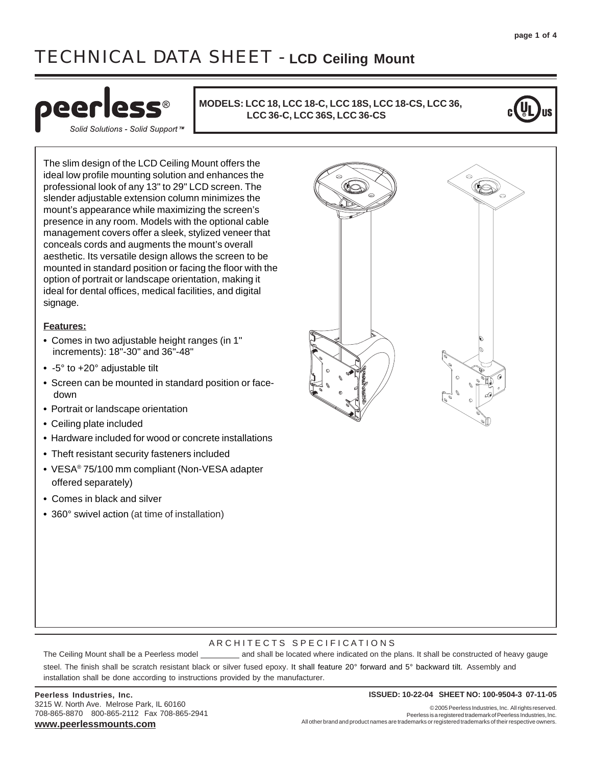# TECHNICAL DATA SHEET - **LCD Ceiling Mount**



Solid Solutions - Solid Support™

**MODELS: LCC 18, LCC 18-C, LCC 18S, LCC 18-CS, LCC 36, LCC 36-C, LCC 36S, LCC 36-CS**



The slim design of the LCD Ceiling Mount offers the ideal low profile mounting solution and enhances the professional look of any 13" to 29" LCD screen. The slender adjustable extension column minimizes the mount's appearance while maximizing the screen's presence in any room. Models with the optional cable management covers offer a sleek, stylized veneer that conceals cords and augments the mount's overall aesthetic. Its versatile design allows the screen to be mounted in standard position or facing the floor with the option of portrait or landscape orientation, making it ideal for dental offices, medical facilities, and digital signage.

#### **Features:**

- **•** Comes in two adjustable height ranges (in 1" increments): 18"-30" and 36"-48"
- **•** -5° to +20° adjustable tilt
- **•** Screen can be mounted in standard position or face down
- **•** Portrait or landscape orientation
- **•** Ceiling plate included
- **•** Hardware included for wood or concrete installations
- **•** Theft resistant security fasteners included
- **•** VESA® 75/100 mm compliant (Non-VESA adapter offered separately)
- **•** Comes in black and silver
- **•** 360° swivel action (at time of installation)



#### ARCHITECTS SPECIFICATIONS

The Ceiling Mount shall be a Peerless model \_\_\_\_\_\_\_\_\_\_ and shall be located where indicated on the plans. It shall be constructed of heavy gauge steel. The finish shall be scratch resistant black or silver fused epoxy. It shall feature 20° forward and 5° backward tilt. Assembly and installation shall be done according to instructions provided by the manufacturer.

3215 W. North Ave. Melrose Park, IL 60160 708-865-8870 800-865-2112 Fax 708-865-2941 **www.peerlessmounts.com**

#### **Peerless Industries, Inc. ISSUED: 10-22-04 SHEET NO: 100-9504-3 07-11-05**

© 2005 Peerless Industries, Inc. All rights reserved. Peerless is a registered trademark of Peerless Industries, Inc. All other brand and product names are trademarks or registered trademarks of their respective owners.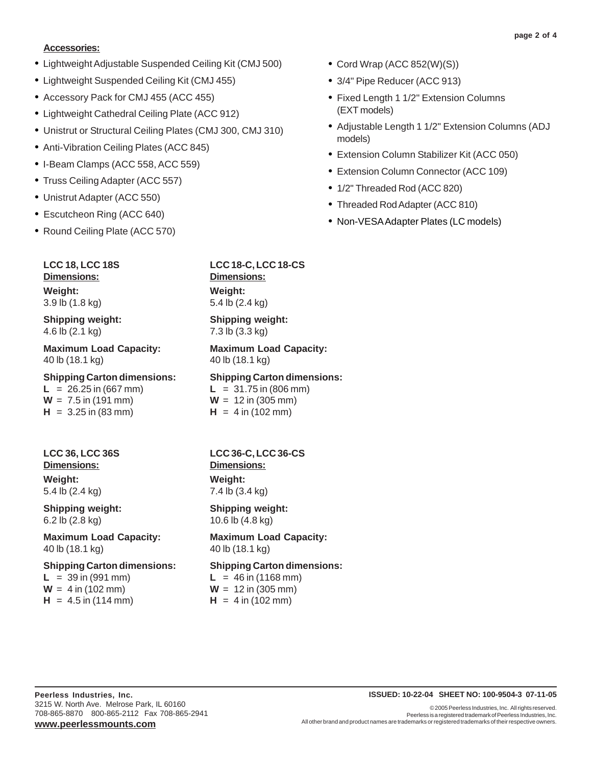#### **Accessories:**

- **•** Lightweight Adjustable Suspended Ceiling Kit (CMJ 500)
- **•** Lightweight Suspended Ceiling Kit (CMJ 455)
- **•** Accessory Pack for CMJ 455 (ACC 455)
- **•** Lightweight Cathedral Ceiling Plate (ACC 912)
- **•** Unistrut or Structural Ceiling Plates (CMJ 300, CMJ 310)
- **•** Anti-Vibration Ceiling Plates (ACC 845)
- **•** I-Beam Clamps (ACC 558, ACC 559)
- **•** Truss Ceiling Adapter (ACC 557)
- **•** Unistrut Adapter (ACC 550)
- **•** Escutcheon Ring (ACC 640)
- **•** Round Ceiling Plate (ACC 570)
	- **LCC 18, LCC 18S Dimensions: Weight:** 3.9 lb (1.8 kg)

# **Shipping weight:** 4.6 lb (2.1 kg)

**Maximum Load Capacity:** 40 lb (18.1 kg)

## **Shipping Carton dimensions:**

 $L = 26.25$  in (667 mm)  $W = 7.5$  in (191 mm)  $H = 3.25$  in (83 mm)

# **LCC 36, LCC 36S Dimensions: Weight:**

5.4 lb (2.4 kg) **Shipping weight:**

6.2 lb (2.8 kg)

**Maximum Load Capacity:** 40 lb (18.1 kg)

**Shipping Carton dimensions:**  $L = 39$  in (991 mm)  $W = 4$  in (102 mm)

 $H = 4.5$  in (114 mm)

# **LCC 18-C, LCC 18-CS**

**Dimensions: Weight:** 5.4 lb (2.4 kg)

#### **Shipping weight:** 7.3 lb (3.3 kg)

**Maximum Load Capacity:** 40 lb (18.1 kg)

# **Shipping Carton dimensions:**

 $L = 31.75$  in (806 mm)  $W = 12$  in (305 mm)  $H = 4$  in (102 mm)

# **LCC 36-C, LCC 36-CS Dimensions: Weight:**

7.4 lb (3.4 kg)

**Shipping weight:** 10.6 lb (4.8 kg)

**Maximum Load Capacity:** 40 lb (18.1 kg)

**Shipping Carton dimensions:**  $L = 46$  in (1168 mm)  $W = 12$  in (305 mm)

 $H = 4$  in (102 mm)

- **•** Cord Wrap (ACC 852(W)(S))
- **•** 3/4" Pipe Reducer (ACC 913)
- **•** Fixed Length 1 1/2" Extension Columns (EXT models)
- **•** Adjustable Length 1 1/2" Extension Columns (ADJ models)
- **•** Extension Column Stabilizer Kit (ACC 050)
- **•** Extension Column Connector (ACC 109)
- **•** 1/2" Threaded Rod (ACC 820)
- **•** Threaded Rod Adapter (ACC 810)
- **•** Non-VESA Adapter Plates (LC models)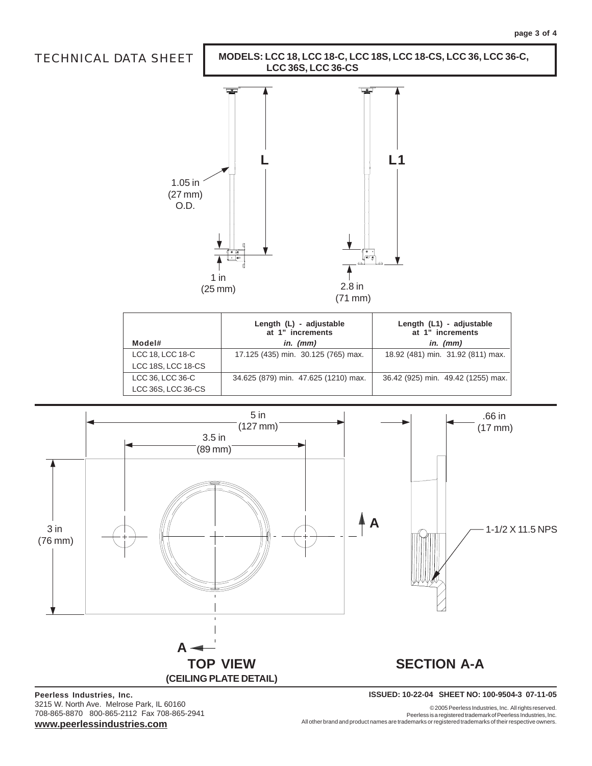

| Model#             | Length (L) - adjustable<br>at 1" increments<br>in. $(mm)$ | Length (L1) - adjustable<br>at 1" increments<br>in. $(mm)$ |
|--------------------|-----------------------------------------------------------|------------------------------------------------------------|
| LCC 18, LCC 18-C   | 17.125 (435) min. 30.125 (765) max.                       | 18.92 (481) min. 31.92 (811) max.                          |
| LCC 18S, LCC 18-CS |                                                           |                                                            |
| LCC 36, LCC 36-C   | 34.625 (879) min. 47.625 (1210) max.                      | 36.42 (925) min. 49.42 (1255) max.                         |
| LCC 36S, LCC 36-CS |                                                           |                                                            |



3215 W. North Ave. Melrose Park, IL 60160 708-865-8870 800-865-2112 Fax 708-865-2941 **www.peerlessindustries.com**

© 2005 Peerless Industries, Inc. All rights reserved. Peerless is a registered trademark of Peerless Industries, Inc. All other brand and product names are trademarks or registered trademarks of their respective owners.